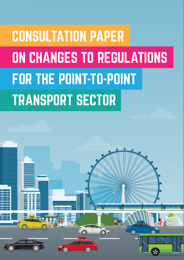# **CONSULTATION PAPER** ON CHANGES TO REGULATIONS **FOR THE POINT-TO-POINT TRANSPORT SECTOR**

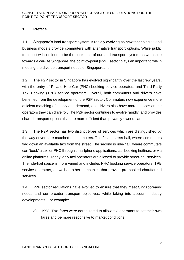# **1. Preface**

1.1. Singapore's land transport system is rapidly evolving as new technologies and business models provide commuters with alternative transport options. While public transport will continue to be the backbone of our land transport system as we aspire towards a car-lite Singapore, the point-to-point (P2P) sector plays an important role in meeting the diverse transport needs of Singaporeans.

1.2. The P2P sector in Singapore has evolved significantly over the last few years, with the entry of Private Hire Car (PHC) booking service operators and Third-Party Taxi Booking (TPB) service operators. Overall, both commuters and drivers have benefited from the development of the P2P sector. Commuters now experience more efficient matching of supply and demand, and drivers also have more choices on the operators they can drive for. The P2P sector continues to evolve rapidly, and provides shared transport options that are more efficient than privately-owned cars.

1.3. The P2P sector has two distinct types of services which are distinguished by the way drivers are matched to commuters. The first is street-hail, where commuters flag down an available taxi from the street. The second is ride-hail, where commuters can 'book' a taxi or PHC through smartphone applications, call booking hotlines, or via online platforms. Today, only taxi operators are allowed to provide street-hail services. The ride-hail space is more varied and includes PHC booking service operators, TPB service operators, as well as other companies that provide pre-booked chauffeured services.

1.4. P2P sector regulations have evolved to ensure that they meet Singaporeans' needs and our broader transport objectives, while taking into account industry developments. For example:

a) 1998: Taxi fares were deregulated to allow taxi operators to set their own fares and be more responsive to market conditions.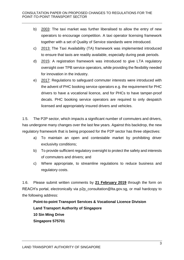- b) 2003: The taxi market was further liberalised to allow the entry of new operators to encourage competition. A taxi operator licensing framework together with a set of Quality of Service standards were introduced.
- c) 2013: The Taxi Availability (TA) framework was implemented introduced to ensure that taxis are readily available, especially during peak periods.
- d) 2015: A registration framework was introduced to give LTA regulatory oversight over TPB service operators, while providing the flexibility needed for innovation in the industry.
- e) 2017: Regulations to safeguard commuter interests were introduced with the advent of PHC booking service operators e.g. the requirement for PHC drivers to have a vocational licence, and for PHCs to have tamper-proof decals. PHC booking service operators are required to only despatch licensed and appropriately insured drivers and vehicles.

1.5. The P2P sector, which impacts a significant number of commuters and drivers, has undergone many changes over the last few years. Against this backdrop, the new regulatory framework that is being proposed for the P2P sector has three objectives:

- a) To maintain an open and contestable market by prohibiting driver exclusivity conditions;
- b) To provide sufficient regulatory oversight to protect the safety and interests of commuters and drivers; and
- c) Where appropriate, to streamline regulations to reduce business and regulatory costs.

1.6. Please submit written comments by **21 February 2019** through the form on REACH's portal, electronically via p2p\_consultation@lta.gov.sg, or mail hardcopy to the following address:

**Point-to-point Transport Services & Vocational Licence Division Land Transport Authority of Singapore 10 Sin Ming Drive Singapore 575701**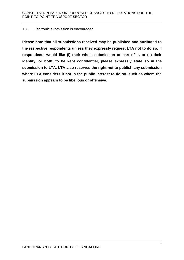#### 1.7. Electronic submission is encouraged.

**Please note that all submissions received may be published and attributed to the respective respondents unless they expressly request LTA not to do so. If respondents would like (i) their whole submission or part of it, or (ii) their identity, or both, to be kept confidential, please expressly state so in the submission to LTA. LTA also reserves the right not to publish any submission where LTA considers it not in the public interest to do so, such as where the submission appears to be libellous or offensive.**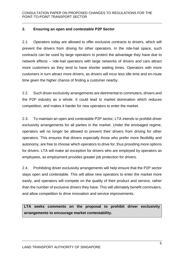# **2. Ensuring an open and contestable P2P Sector**

2.1. Operators today are allowed to offer exclusive contracts to drivers, which will prevent the drivers from driving for other operators. In the ride-hail space, such contracts can be used by large operators to protect the advantage they have due to network effects – ride-hail operators with large networks of drivers and cars attract more customers as they tend to have shorter waiting times. Operators with more customers in turn attract more drivers, as drivers will incur less idle time and en-route time given the higher chance of finding a customer nearby.

2.2. Such driver exclusivity arrangements are detrimental to commuters, drivers and the P2P industry as a whole. It could lead to market domination which reduces competition, and makes it harder for new operators to enter the market.

2.3. To maintain an open and contestable P2P sector, LTA intends to prohibit driver exclusivity arrangements for all parties in the market. Under the envisaged regime, operators will no longer be allowed to prevent their drivers from driving for other operators. This ensures that drivers especially those who prefer more flexibility and autonomy, are free to choose which operators to drive for, thus providing more options for drivers. LTA will make an exception for drivers who are employed by operators as employees, as employment provides greater job protection for drivers.

2.4. Prohibiting driver exclusivity arrangements will help ensure that the P2P sector stays open and contestable. This will allow new operators to enter the market more easily, and operators will compete on the quality of their product and service, rather than the number of exclusive drivers they have. This will ultimately benefit commuters, and allow competition to drive innovation and service improvements.

**LTA seeks comments on the proposal to prohibit driver exclusivity arrangements to encourage market contestability.**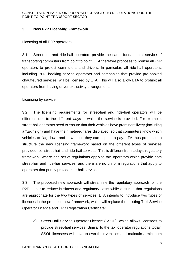# **3. New P2P Licensing Framework**

#### Licensing of all P2P operators

3.1. Street-hail and ride-hail operators provide the same fundamental service of transporting commuters from point to point. LTA therefore proposes to license all P2P operators to protect commuters and drivers. In particular, all ride-hail operators, including PHC booking service operators and companies that provide pre-booked chauffeured services, will be licensed by LTA. This will also allow LTA to prohibit all operators from having driver exclusivity arrangements.

#### Licensing by service

3.2. The licensing requirements for street-hail and ride-hail operators will be different, due to the different ways in which the service is provided. For example, street-hail operators need to ensure that their vehicles have prominent livery (including a "taxi" sign) and have their metered fares displayed, so that commuters know which vehicles to flag down and how much they can expect to pay. LTA thus proposes to structure the new licensing framework based on the different types of services provided, i.e. street-hail and ride-hail services. This is different from today's regulatory framework, where one set of regulations apply to taxi operators which provide both street-hail and ride-hail services, and there are no uniform regulations that apply to operators that purely provide ride-hail services.

3.3. The proposed new approach will streamline the regulatory approach for the P2P sector to reduce business and regulatory costs while ensuring that regulations are appropriate for the two types of services. LTA intends to introduce two types of licences in the proposed new framework, which will replace the existing Taxi Service Operator Licence and TPB Registration Certificate:

a) Street-Hail Service Operator Licence (SSOL), which allows licensees to provide street-hail services. Similar to the taxi operator regulations today, SSOL licensees will have to own their vehicles and maintain a minimum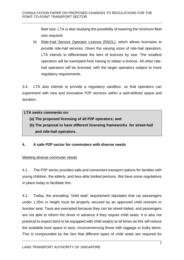fleet size. LTA is also studying the possibility of lowering the minimum fleet size required.

b) Ride-Hail Service Operator Licence (RSOL), which allows licensees to provide ride-hail services. Given the varying sizes of ride-hail operators, LTA intends to differentiate the tiers of licences by size. The smallest operators will be exempted from having to obtain a licence. All other ridehail operators will be licensed, with the larger operators subject to more regulatory requirements.

3.4. LTA also intends to provide a regulatory sandbox, so that operators can experiment with new and innovative P2P services within a well-defined space and duration.

# **LTA seeks comments on:**

- **(a) The proposed licensing of all P2P operators; and**
- **(b) The proposal to have different licensing frameworks for street-hail and ride-hail operators.**

# **4. A safe P2P sector for commuters with diverse needs**

# Meeting diverse commuter needs

4.1. The P2P sector provides safe and convenient transport options for families with young children, the elderly, and less-able bodied persons. We have some regulations in place today to facilitate this.

4.2. Today, the prevailing "child seat" requirement stipulates that car passengers under 1.35m in height must be properly secured by an approved child restraint or booster seat. Taxis are exempted because they can be street-hailed, and passengers are not able to inform the driver in advance if they require child seats. It is also not practical to expect taxis to be equipped with child seat(s) at all times as this will reduce the available boot space in taxis, inconveniencing those with luggage or bulky items. This is compounded by the fact that different types of child seats are required for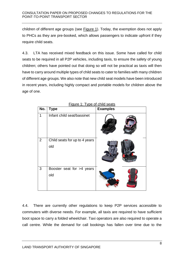children of different age groups (see Figure 1). Today, the exemption does not apply to PHCs as they are pre-booked, which allows passengers to indicate upfront if they require child seats.

4.3. LTA has received mixed feedback on this issue. Some have called for child seats to be required in all P2P vehicles, including taxis, to ensure the safety of young children; others have pointed out that doing so will not be practical as taxis will then have to carry around multiple types of child seats to cater to families with many children of different age groups. We also note that new child seat models have been introduced in recent years, including highly compact and portable models for children above the age of one.

| Figure 1: Type of child seats |                                      |                 |
|-------------------------------|--------------------------------------|-----------------|
| No.                           | <b>Type</b>                          | <b>Examples</b> |
| 1                             | Infant child seat/bassinet           |                 |
| $\overline{2}$                | Child seats for up to 4 years<br>old |                 |
| 3                             | Booster seat for >4 years<br>old     |                 |

4.4. There are currently other regulations to keep P2P services accessible to commuters with diverse needs. For example, all taxis are required to have sufficient boot space to carry a folded wheelchair. Taxi operators are also required to operate a call centre. While the demand for call bookings has fallen over time due to the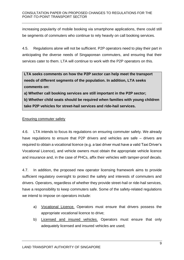increasing popularity of mobile booking via smartphone applications, there could still be segments of commuters who continue to rely heavily on call booking services.

4.5. Regulations alone will not be sufficient. P2P operators need to play their part in anticipating the diverse needs of Singaporean commuters, and ensuring that their services cater to them. LTA will continue to work with the P2P operators on this.

**LTA seeks comments on how the P2P sector can help meet the transport needs of different segments of the population. In addition, LTA seeks comments on:**

**a) Whether call booking services are still important in the P2P sector;** 

**b) Whether child seats should be required when families with young children take P2P vehicles for street-hail services and ride-hail services.**

# Ensuring commuter safety

4.6. LTA intends to focus its regulations on ensuring commuter safety. We already have regulations to ensure that P2P drivers and vehicles are safe – drivers are required to obtain a vocational licence (e.g. a taxi driver must have a valid Taxi Driver's Vocational Licence), and vehicle owners must obtain the appropriate vehicle licence and insurance and, in the case of PHCs, affix their vehicles with tamper-proof decals.

4.7. In addition, the proposed new operator licensing framework aims to provide sufficient regulatory oversight to protect the safety and interests of commuters and drivers. Operators, regardless of whether they provide street-hail or ride-hail services, have a responsibility to keep commuters safe. Some of the safety-related regulations we intend to impose on operators include:

- a) Vocational Licence. Operators must ensure that drivers possess the appropriate vocational licence to drive;
- b) Licensed and insured vehicles. Operators must ensure that only adequately licensed and insured vehicles are used;